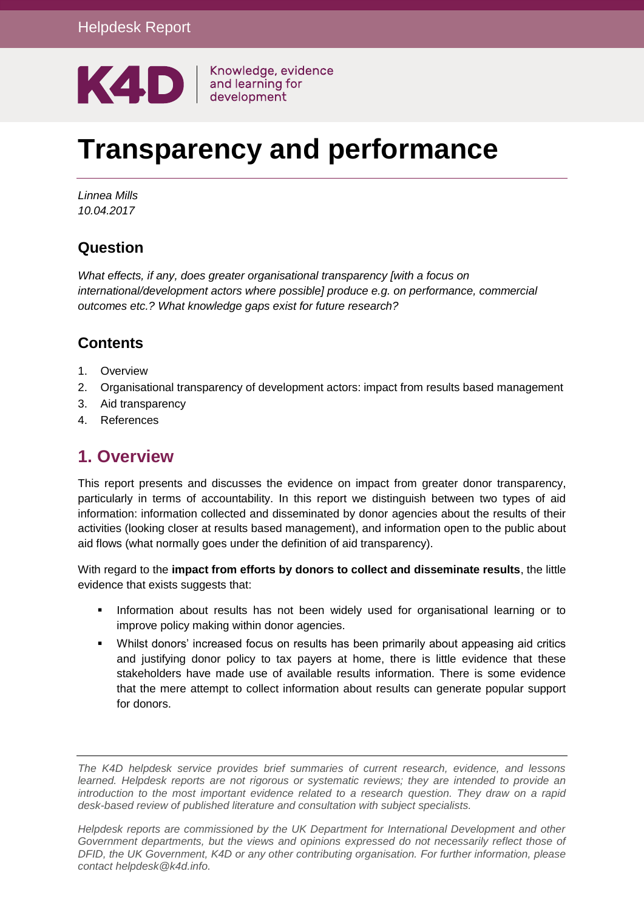

# **Transparency and performance**

*Linnea Mills 10.04.2017*

# **Question**

*What effects, if any, does greater organisational transparency [with a focus on international/development actors where possible] produce e.g. on performance, commercial outcomes etc.? What knowledge gaps exist for future research?*

## **Contents**

- 1. [Overview](#page-0-0)
- 2. [Organisational transparency of development actors: impact from results based management](#page-1-0)
- 3. [Aid transparency](#page-4-0)
- <span id="page-0-0"></span>4. [References](#page-9-0)

# **1. Overview**

This report presents and discusses the evidence on impact from greater donor transparency, particularly in terms of accountability. In this report we distinguish between two types of aid information: information collected and disseminated by donor agencies about the results of their activities (looking closer at results based management), and information open to the public about aid flows (what normally goes under the definition of aid transparency).

With regard to the **impact from efforts by donors to collect and disseminate results**, the little evidence that exists suggests that:

- **Information about results has not been widely used for organisational learning or to** improve policy making within donor agencies.
- Whilst donors' increased focus on results has been primarily about appeasing aid critics and justifying donor policy to tax payers at home, there is little evidence that these stakeholders have made use of available results information. There is some evidence that the mere attempt to collect information about results can generate popular support for donors.

*The K4D helpdesk service provides brief summaries of current research, evidence, and lessons learned. Helpdesk reports are not rigorous or systematic reviews; they are intended to provide an introduction to the most important evidence related to a research question. They draw on a rapid desk-based review of published literature and consultation with subject specialists.* 

*Helpdesk reports are commissioned by the UK Department for International Development and other*  Government departments, but the views and opinions expressed do not necessarily reflect those of *DFID, the UK Government, K4D or any other contributing organisation. For further information, please contact helpdesk@k4d.info.*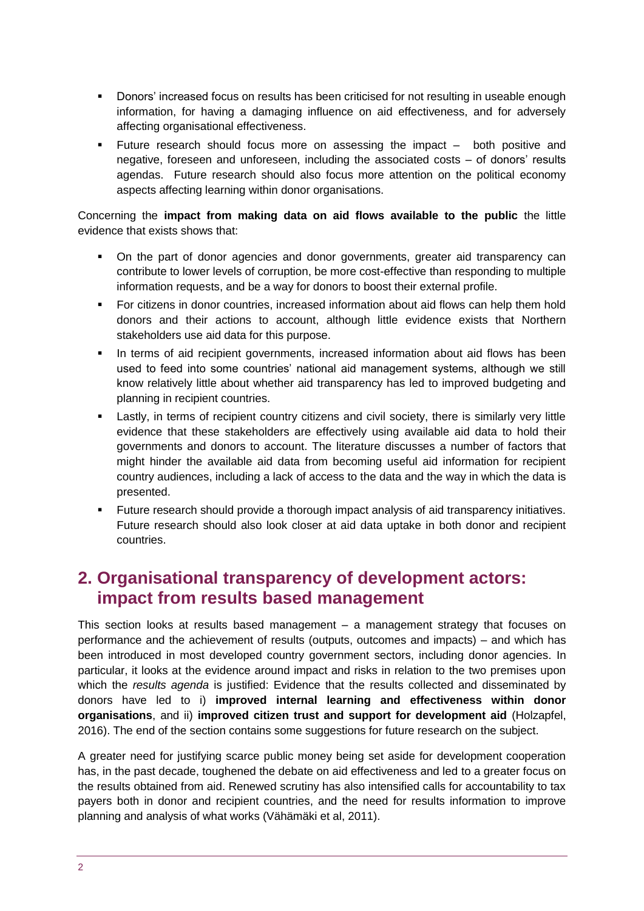- Donors' increased focus on results has been criticised for not resulting in useable enough information, for having a damaging influence on aid effectiveness, and for adversely affecting organisational effectiveness.
- Future research should focus more on assessing the impact both positive and negative, foreseen and unforeseen, including the associated costs – of donors' results agendas. Future research should also focus more attention on the political economy aspects affecting learning within donor organisations.

Concerning the **impact from making data on aid flows available to the public** the little evidence that exists shows that:

- On the part of donor agencies and donor governments, greater aid transparency can contribute to lower levels of corruption, be more cost-effective than responding to multiple information requests, and be a way for donors to boost their external profile.
- For citizens in donor countries, increased information about aid flows can help them hold donors and their actions to account, although little evidence exists that Northern stakeholders use aid data for this purpose.
- In terms of aid recipient governments, increased information about aid flows has been used to feed into some countries' national aid management systems, although we still know relatively little about whether aid transparency has led to improved budgeting and planning in recipient countries.
- **EXECTS** Lastly, in terms of recipient country citizens and civil society, there is similarly very little evidence that these stakeholders are effectively using available aid data to hold their governments and donors to account. The literature discusses a number of factors that might hinder the available aid data from becoming useful aid information for recipient country audiences, including a lack of access to the data and the way in which the data is presented.
- Future research should provide a thorough impact analysis of aid transparency initiatives. Future research should also look closer at aid data uptake in both donor and recipient countries.

# <span id="page-1-0"></span>**2. Organisational transparency of development actors: impact from results based management**

This section looks at results based management – a management strategy that focuses on performance and the achievement of results (outputs, outcomes and impacts) – and which has been introduced in most developed country government sectors, including donor agencies. In particular, it looks at the evidence around impact and risks in relation to the two premises upon which the *results agenda* is justified: Evidence that the results collected and disseminated by donors have led to i) **improved internal learning and effectiveness within donor organisations**, and ii) **improved citizen trust and support for development aid** (Holzapfel, 2016). The end of the section contains some suggestions for future research on the subject.

A greater need for justifying scarce public money being set aside for development cooperation has, in the past decade, toughened the debate on aid effectiveness and led to a greater focus on the results obtained from aid. Renewed scrutiny has also intensified calls for accountability to tax payers both in donor and recipient countries, and the need for results information to improve planning and analysis of what works (Vähämäki et al, 2011).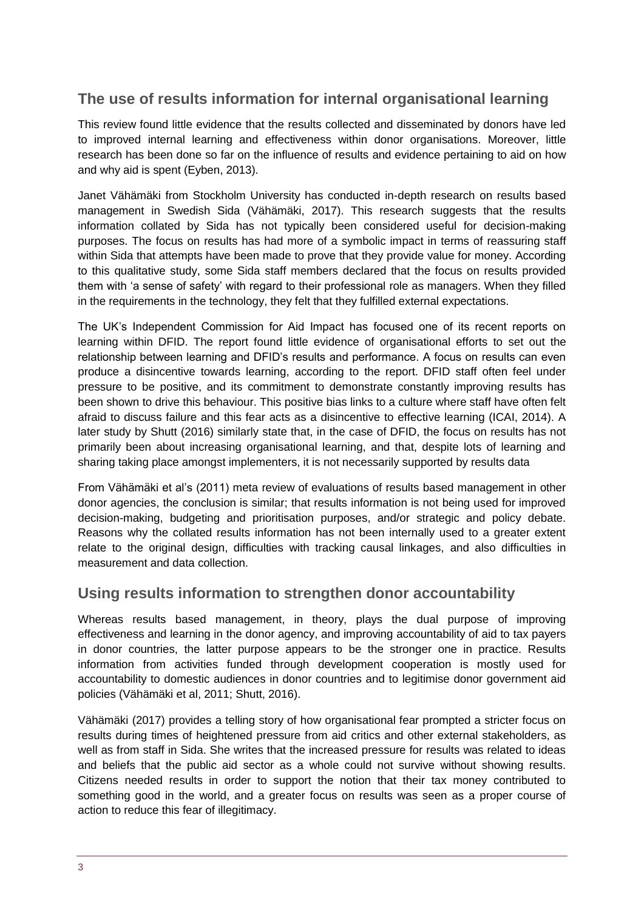# **The use of results information for internal organisational learning**

This review found little evidence that the results collected and disseminated by donors have led to improved internal learning and effectiveness within donor organisations. Moreover, little research has been done so far on the influence of results and evidence pertaining to aid on how and why aid is spent (Eyben, 2013).

Janet Vähämäki from Stockholm University has conducted in-depth research on results based management in Swedish Sida (Vähämäki, 2017). This research suggests that the results information collated by Sida has not typically been considered useful for decision-making purposes. The focus on results has had more of a symbolic impact in terms of reassuring staff within Sida that attempts have been made to prove that they provide value for money. According to this qualitative study, some Sida staff members declared that the focus on results provided them with 'a sense of safety' with regard to their professional role as managers. When they filled in the requirements in the technology, they felt that they fulfilled external expectations.

The UK's Independent Commission for Aid Impact has focused one of its recent reports on learning within DFID. The report found little evidence of organisational efforts to set out the relationship between learning and DFID's results and performance. A focus on results can even produce a disincentive towards learning, according to the report. DFID staff often feel under pressure to be positive, and its commitment to demonstrate constantly improving results has been shown to drive this behaviour. This positive bias links to a culture where staff have often felt afraid to discuss failure and this fear acts as a disincentive to effective learning (ICAI, 2014). A later study by Shutt (2016) similarly state that, in the case of DFID, the focus on results has not primarily been about increasing organisational learning, and that, despite lots of learning and sharing taking place amongst implementers, it is not necessarily supported by results data

From Vähämäki et al's (2011) meta review of evaluations of results based management in other donor agencies, the conclusion is similar; that results information is not being used for improved decision-making, budgeting and prioritisation purposes, and/or strategic and policy debate. Reasons why the collated results information has not been internally used to a greater extent relate to the original design, difficulties with tracking causal linkages, and also difficulties in measurement and data collection.

## **Using results information to strengthen donor accountability**

Whereas results based management, in theory, plays the dual purpose of improving effectiveness and learning in the donor agency, and improving accountability of aid to tax payers in donor countries, the latter purpose appears to be the stronger one in practice. Results information from activities funded through development cooperation is mostly used for accountability to domestic audiences in donor countries and to legitimise donor government aid policies (Vähämäki et al, 2011; Shutt, 2016).

Vähämäki (2017) provides a telling story of how organisational fear prompted a stricter focus on results during times of heightened pressure from aid critics and other external stakeholders, as well as from staff in Sida. She writes that the increased pressure for results was related to ideas and beliefs that the public aid sector as a whole could not survive without showing results. Citizens needed results in order to support the notion that their tax money contributed to something good in the world, and a greater focus on results was seen as a proper course of action to reduce this fear of illegitimacy.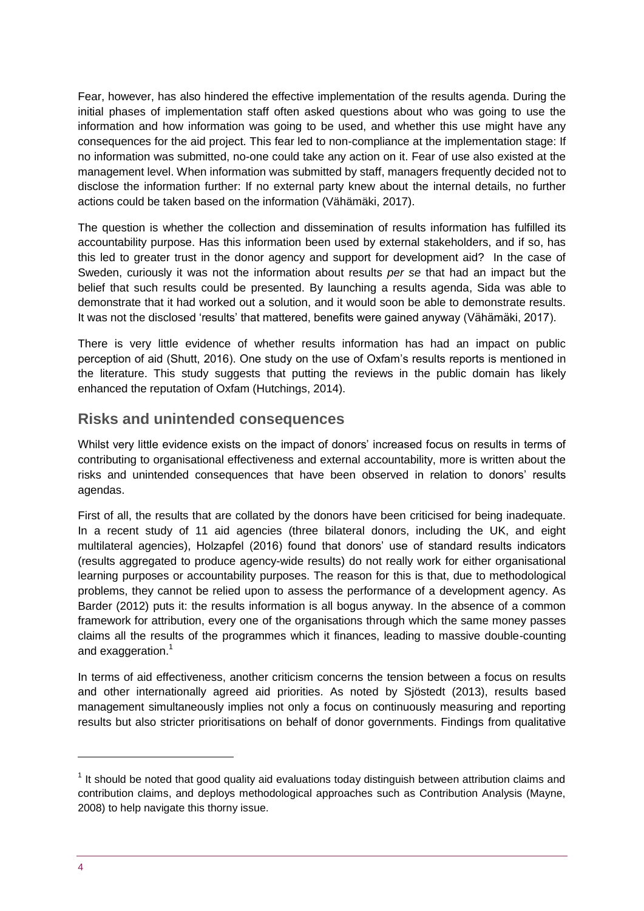Fear, however, has also hindered the effective implementation of the results agenda. During the initial phases of implementation staff often asked questions about who was going to use the information and how information was going to be used, and whether this use might have any consequences for the aid project. This fear led to non-compliance at the implementation stage: If no information was submitted, no-one could take any action on it. Fear of use also existed at the management level. When information was submitted by staff, managers frequently decided not to disclose the information further: If no external party knew about the internal details, no further actions could be taken based on the information (Vähämäki, 2017).

The question is whether the collection and dissemination of results information has fulfilled its accountability purpose. Has this information been used by external stakeholders, and if so, has this led to greater trust in the donor agency and support for development aid? In the case of Sweden, curiously it was not the information about results *per se* that had an impact but the belief that such results could be presented. By launching a results agenda, Sida was able to demonstrate that it had worked out a solution, and it would soon be able to demonstrate results. It was not the disclosed 'results' that mattered, benefits were gained anyway (Vähämäki, 2017).

There is very little evidence of whether results information has had an impact on public perception of aid (Shutt, 2016). One study on the use of Oxfam's results reports is mentioned in the literature. This study suggests that putting the reviews in the public domain has likely enhanced the reputation of Oxfam (Hutchings, 2014).

#### **Risks and unintended consequences**

Whilst very little evidence exists on the impact of donors' increased focus on results in terms of contributing to organisational effectiveness and external accountability, more is written about the risks and unintended consequences that have been observed in relation to donors' results agendas.

First of all, the results that are collated by the donors have been criticised for being inadequate. In a recent study of 11 aid agencies (three bilateral donors, including the UK, and eight multilateral agencies), Holzapfel (2016) found that donors' use of standard results indicators (results aggregated to produce agency-wide results) do not really work for either organisational learning purposes or accountability purposes. The reason for this is that, due to methodological problems, they cannot be relied upon to assess the performance of a development agency. As Barder (2012) puts it: the results information is all bogus anyway. In the absence of a common framework for attribution, every one of the organisations through which the same money passes claims all the results of the programmes which it finances, leading to massive double-counting and exaggeration.<sup>1</sup>

In terms of aid effectiveness, another criticism concerns the tension between a focus on results and other internationally agreed aid priorities. As noted by Sjöstedt (2013), results based management simultaneously implies not only a focus on continuously measuring and reporting results but also stricter prioritisations on behalf of donor governments. Findings from qualitative

-

 $1$  It should be noted that good quality aid evaluations today distinguish between attribution claims and contribution claims, and deploys methodological approaches such as Contribution Analysis (Mayne, 2008) to help navigate this thorny issue.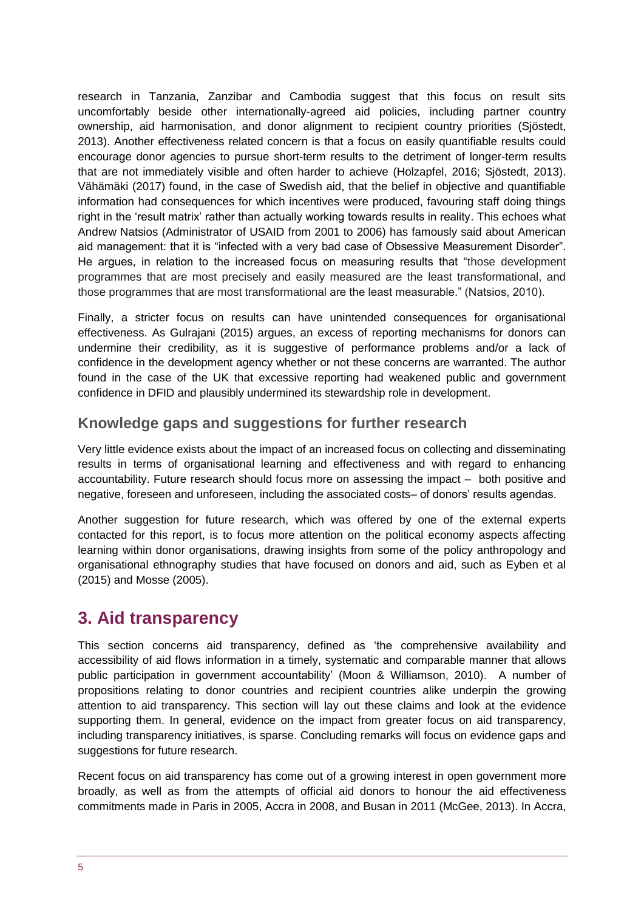research in Tanzania, Zanzibar and Cambodia suggest that this focus on result sits uncomfortably beside other internationally-agreed aid policies, including partner country ownership, aid harmonisation, and donor alignment to recipient country priorities (Sjöstedt, 2013). Another effectiveness related concern is that a focus on easily quantifiable results could encourage donor agencies to pursue short-term results to the detriment of longer-term results that are not immediately visible and often harder to achieve (Holzapfel, 2016; Sjöstedt, 2013). Vähämäki (2017) found, in the case of Swedish aid, that the belief in objective and quantifiable information had consequences for which incentives were produced, favouring staff doing things right in the 'result matrix' rather than actually working towards results in reality. This echoes what Andrew Natsios (Administrator of USAID from 2001 to 2006) has famously said about American aid management: that it is "infected with a very bad case of Obsessive Measurement Disorder". He argues, in relation to the increased focus on measuring results that "those development programmes that are most precisely and easily measured are the least transformational, and those programmes that are most transformational are the least measurable." (Natsios, 2010).

Finally, a stricter focus on results can have unintended consequences for organisational effectiveness. As Gulrajani (2015) argues, an excess of reporting mechanisms for donors can undermine their credibility, as it is suggestive of performance problems and/or a lack of confidence in the development agency whether or not these concerns are warranted. The author found in the case of the UK that excessive reporting had weakened public and government confidence in DFID and plausibly undermined its stewardship role in development.

## **Knowledge gaps and suggestions for further research**

Very little evidence exists about the impact of an increased focus on collecting and disseminating results in terms of organisational learning and effectiveness and with regard to enhancing accountability. Future research should focus more on assessing the impact – both positive and negative, foreseen and unforeseen, including the associated costs– of donors' results agendas.

Another suggestion for future research, which was offered by one of the external experts contacted for this report, is to focus more attention on the political economy aspects affecting learning within donor organisations, drawing insights from some of the policy anthropology and organisational ethnography studies that have focused on donors and aid, such as Eyben et al (2015) and Mosse (2005).

# <span id="page-4-0"></span>**3. Aid transparency**

This section concerns aid transparency, defined as 'the comprehensive availability and accessibility of aid flows information in a timely, systematic and comparable manner that allows public participation in government accountability' (Moon & Williamson, 2010). A number of propositions relating to donor countries and recipient countries alike underpin the growing attention to aid transparency. This section will lay out these claims and look at the evidence supporting them. In general, evidence on the impact from greater focus on aid transparency, including transparency initiatives, is sparse. Concluding remarks will focus on evidence gaps and suggestions for future research.

Recent focus on aid transparency has come out of a growing interest in open government more broadly, as well as from the attempts of official aid donors to honour the aid effectiveness commitments made in Paris in 2005, Accra in 2008, and Busan in 2011 (McGee, 2013). In Accra,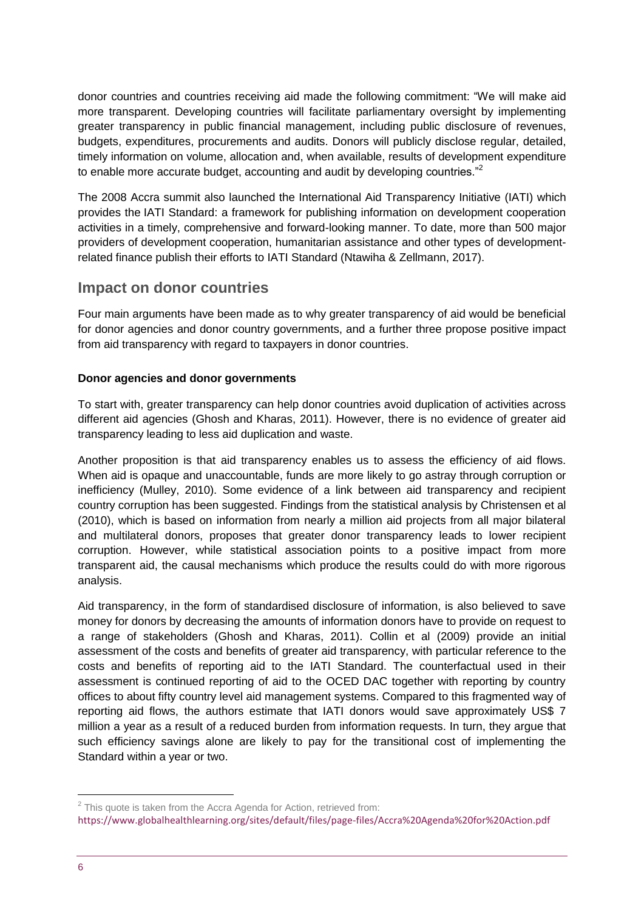donor countries and countries receiving aid made the following commitment: "We will make aid more transparent. Developing countries will facilitate parliamentary oversight by implementing greater transparency in public financial management, including public disclosure of revenues, budgets, expenditures, procurements and audits. Donors will publicly disclose regular, detailed, timely information on volume, allocation and, when available, results of development expenditure to enable more accurate budget, accounting and audit by developing countries."<sup>2</sup>

The 2008 Accra summit also launched the International Aid Transparency Initiative (IATI) which provides the IATI Standard: a framework for publishing information on development cooperation activities in a timely, comprehensive and forward-looking manner. To date, more than 500 major providers of development cooperation, humanitarian assistance and other types of developmentrelated finance publish their efforts to IATI Standard (Ntawiha & Zellmann, 2017).

## **Impact on donor countries**

Four main arguments have been made as to why greater transparency of aid would be beneficial for donor agencies and donor country governments, and a further three propose positive impact from aid transparency with regard to taxpayers in donor countries.

#### **Donor agencies and donor governments**

To start with, greater transparency can help donor countries avoid duplication of activities across different aid agencies (Ghosh and Kharas, 2011). However, there is no evidence of greater aid transparency leading to less aid duplication and waste.

Another proposition is that aid transparency enables us to assess the efficiency of aid flows. When aid is opaque and unaccountable, funds are more likely to go astray through corruption or inefficiency (Mulley, 2010). Some evidence of a link between aid transparency and recipient country corruption has been suggested. Findings from the statistical analysis by Christensen et al (2010), which is based on information from nearly a million aid projects from all major bilateral and multilateral donors, proposes that greater donor transparency leads to lower recipient corruption. However, while statistical association points to a positive impact from more transparent aid, the causal mechanisms which produce the results could do with more rigorous analysis.

Aid transparency, in the form of standardised disclosure of information, is also believed to save money for donors by decreasing the amounts of information donors have to provide on request to a range of stakeholders (Ghosh and Kharas, 2011). Collin et al (2009) provide an initial assessment of the costs and benefits of greater aid transparency, with particular reference to the costs and benefits of reporting aid to the IATI Standard. The counterfactual used in their assessment is continued reporting of aid to the OCED DAC together with reporting by country offices to about fifty country level aid management systems. Compared to this fragmented way of reporting aid flows, the authors estimate that IATI donors would save approximately US\$ 7 million a year as a result of a reduced burden from information requests. In turn, they argue that such efficiency savings alone are likely to pay for the transitional cost of implementing the Standard within a year or two.

1

 $2$  This quote is taken from the Accra Agenda for Action, retrieved from: <https://www.globalhealthlearning.org/sites/default/files/page-files/Accra%20Agenda%20for%20Action.pdf>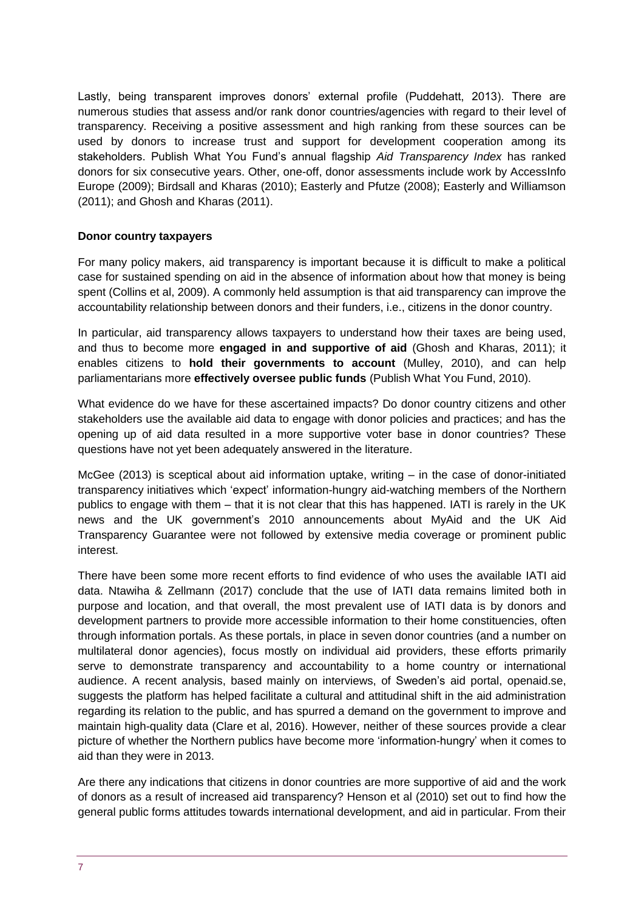Lastly, being transparent improves donors' external profile (Puddehatt, 2013). There are numerous studies that assess and/or rank donor countries/agencies with regard to their level of transparency. Receiving a positive assessment and high ranking from these sources can be used by donors to increase trust and support for development cooperation among its stakeholders. Publish What You Fund's annual flagship *Aid Transparency Index* has ranked donors for six consecutive years. Other, one-off, donor assessments include work by AccessInfo Europe (2009); Birdsall and Kharas (2010); Easterly and Pfutze (2008); Easterly and Williamson (2011); and Ghosh and Kharas (2011).

#### **Donor country taxpayers**

For many policy makers, aid transparency is important because it is difficult to make a political case for sustained spending on aid in the absence of information about how that money is being spent (Collins et al, 2009). A commonly held assumption is that aid transparency can improve the accountability relationship between donors and their funders, i.e., citizens in the donor country.

In particular, aid transparency allows taxpayers to understand how their taxes are being used, and thus to become more **engaged in and supportive of aid** (Ghosh and Kharas, 2011); it enables citizens to **hold their governments to account** (Mulley, 2010), and can help parliamentarians more **effectively oversee public funds** (Publish What You Fund, 2010).

What evidence do we have for these ascertained impacts? Do donor country citizens and other stakeholders use the available aid data to engage with donor policies and practices; and has the opening up of aid data resulted in a more supportive voter base in donor countries? These questions have not yet been adequately answered in the literature.

McGee (2013) is sceptical about aid information uptake, writing – in the case of donor-initiated transparency initiatives which 'expect' information-hungry aid-watching members of the Northern publics to engage with them – that it is not clear that this has happened. IATI is rarely in the UK news and the UK government's 2010 announcements about MyAid and the UK Aid Transparency Guarantee were not followed by extensive media coverage or prominent public interest.

There have been some more recent efforts to find evidence of who uses the available IATI aid data. Ntawiha & Zellmann (2017) conclude that the use of IATI data remains limited both in purpose and location, and that overall, the most prevalent use of IATI data is by donors and development partners to provide more accessible information to their home constituencies, often through information portals. As these portals, in place in seven donor countries (and a number on multilateral donor agencies), focus mostly on individual aid providers, these efforts primarily serve to demonstrate transparency and accountability to a home country or international audience. A recent analysis, based mainly on interviews, of Sweden's aid portal, openaid.se, suggests the platform has helped facilitate a cultural and attitudinal shift in the aid administration regarding its relation to the public, and has spurred a demand on the government to improve and maintain high-quality data (Clare et al, 2016). However, neither of these sources provide a clear picture of whether the Northern publics have become more 'information-hungry' when it comes to aid than they were in 2013.

Are there any indications that citizens in donor countries are more supportive of aid and the work of donors as a result of increased aid transparency? Henson et al (2010) set out to find how the general public forms attitudes towards international development, and aid in particular. From their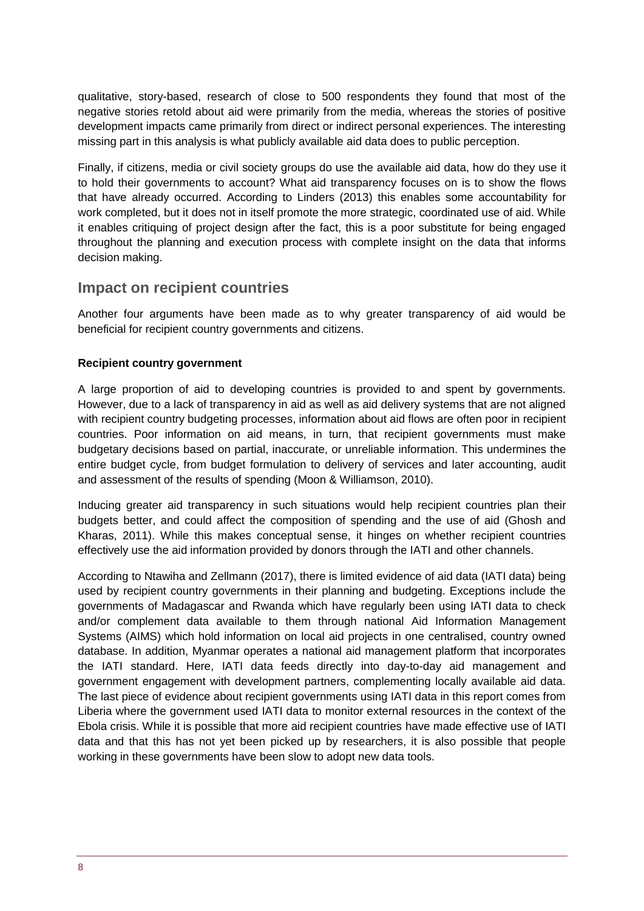qualitative, story-based, research of close to 500 respondents they found that most of the negative stories retold about aid were primarily from the media, whereas the stories of positive development impacts came primarily from direct or indirect personal experiences. The interesting missing part in this analysis is what publicly available aid data does to public perception.

Finally, if citizens, media or civil society groups do use the available aid data, how do they use it to hold their governments to account? What aid transparency focuses on is to show the flows that have already occurred. According to Linders (2013) this enables some accountability for work completed, but it does not in itself promote the more strategic, coordinated use of aid. While it enables critiquing of project design after the fact, this is a poor substitute for being engaged throughout the planning and execution process with complete insight on the data that informs decision making.

#### **Impact on recipient countries**

Another four arguments have been made as to why greater transparency of aid would be beneficial for recipient country governments and citizens.

#### **Recipient country government**

A large proportion of aid to developing countries is provided to and spent by governments. However, due to a lack of transparency in aid as well as aid delivery systems that are not aligned with recipient country budgeting processes, information about aid flows are often poor in recipient countries. Poor information on aid means, in turn, that recipient governments must make budgetary decisions based on partial, inaccurate, or unreliable information. This undermines the entire budget cycle, from budget formulation to delivery of services and later accounting, audit and assessment of the results of spending (Moon & Williamson, 2010).

Inducing greater aid transparency in such situations would help recipient countries plan their budgets better, and could affect the composition of spending and the use of aid (Ghosh and Kharas, 2011). While this makes conceptual sense, it hinges on whether recipient countries effectively use the aid information provided by donors through the IATI and other channels.

According to Ntawiha and Zellmann (2017), there is limited evidence of aid data (IATI data) being used by recipient country governments in their planning and budgeting. Exceptions include the governments of Madagascar and Rwanda which have regularly been using IATI data to check and/or complement data available to them through national Aid Information Management Systems (AIMS) which hold information on local aid projects in one centralised, country owned database. In addition, Myanmar operates a national aid management platform that incorporates the IATI standard. Here, IATI data feeds directly into day-to-day aid management and government engagement with development partners, complementing locally available aid data. The last piece of evidence about recipient governments using IATI data in this report comes from Liberia where the government used IATI data to monitor external resources in the context of the Ebola crisis. While it is possible that more aid recipient countries have made effective use of IATI data and that this has not yet been picked up by researchers, it is also possible that people working in these governments have been slow to adopt new data tools.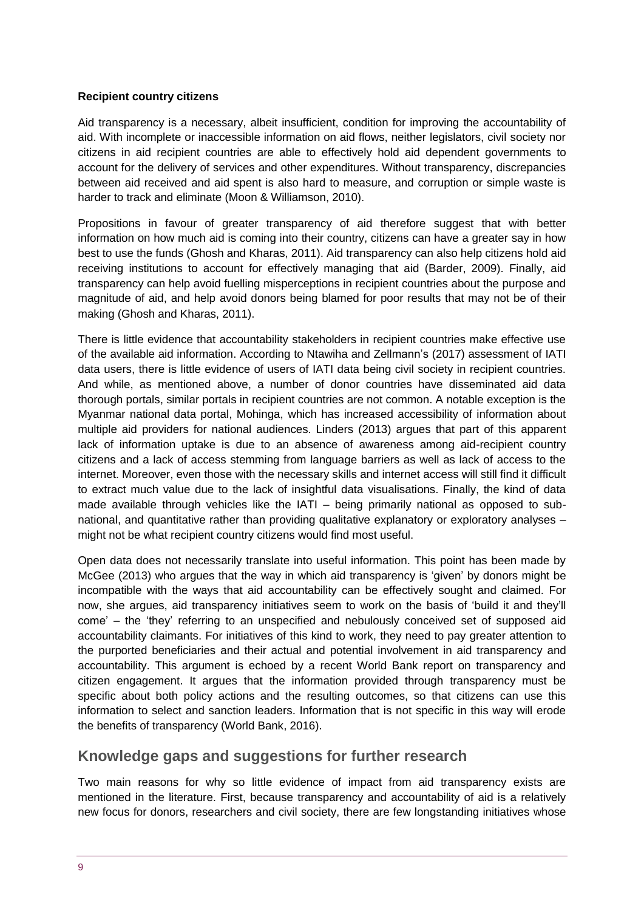#### **Recipient country citizens**

Aid transparency is a necessary, albeit insufficient, condition for improving the accountability of aid. With incomplete or inaccessible information on aid flows, neither legislators, civil society nor citizens in aid recipient countries are able to effectively hold aid dependent governments to account for the delivery of services and other expenditures. Without transparency, discrepancies between aid received and aid spent is also hard to measure, and corruption or simple waste is harder to track and eliminate (Moon & Williamson, 2010).

Propositions in favour of greater transparency of aid therefore suggest that with better information on how much aid is coming into their country, citizens can have a greater say in how best to use the funds (Ghosh and Kharas, 2011). Aid transparency can also help citizens hold aid receiving institutions to account for effectively managing that aid (Barder, 2009). Finally, aid transparency can help avoid fuelling misperceptions in recipient countries about the purpose and magnitude of aid, and help avoid donors being blamed for poor results that may not be of their making (Ghosh and Kharas, 2011).

There is little evidence that accountability stakeholders in recipient countries make effective use of the available aid information. According to Ntawiha and Zellmann's (2017) assessment of IATI data users, there is little evidence of users of IATI data being civil society in recipient countries. And while, as mentioned above, a number of donor countries have disseminated aid data thorough portals, similar portals in recipient countries are not common. A notable exception is the Myanmar national data portal, Mohinga, which has increased accessibility of information about multiple aid providers for national audiences. Linders (2013) argues that part of this apparent lack of information uptake is due to an absence of awareness among aid-recipient country citizens and a lack of access stemming from language barriers as well as lack of access to the internet. Moreover, even those with the necessary skills and internet access will still find it difficult to extract much value due to the lack of insightful data visualisations. Finally, the kind of data made available through vehicles like the IATI – being primarily national as opposed to subnational, and quantitative rather than providing qualitative explanatory or exploratory analyses – might not be what recipient country citizens would find most useful.

Open data does not necessarily translate into useful information. This point has been made by McGee (2013) who argues that the way in which aid transparency is 'given' by donors might be incompatible with the ways that aid accountability can be effectively sought and claimed. For now, she argues, aid transparency initiatives seem to work on the basis of 'build it and they'll come' – the 'they' referring to an unspecified and nebulously conceived set of supposed aid accountability claimants. For initiatives of this kind to work, they need to pay greater attention to the purported beneficiaries and their actual and potential involvement in aid transparency and accountability. This argument is echoed by a recent World Bank report on transparency and citizen engagement. It argues that the information provided through transparency must be specific about both policy actions and the resulting outcomes, so that citizens can use this information to select and sanction leaders. Information that is not specific in this way will erode the benefits of transparency (World Bank, 2016).

#### **Knowledge gaps and suggestions for further research**

Two main reasons for why so little evidence of impact from aid transparency exists are mentioned in the literature. First, because transparency and accountability of aid is a relatively new focus for donors, researchers and civil society, there are few longstanding initiatives whose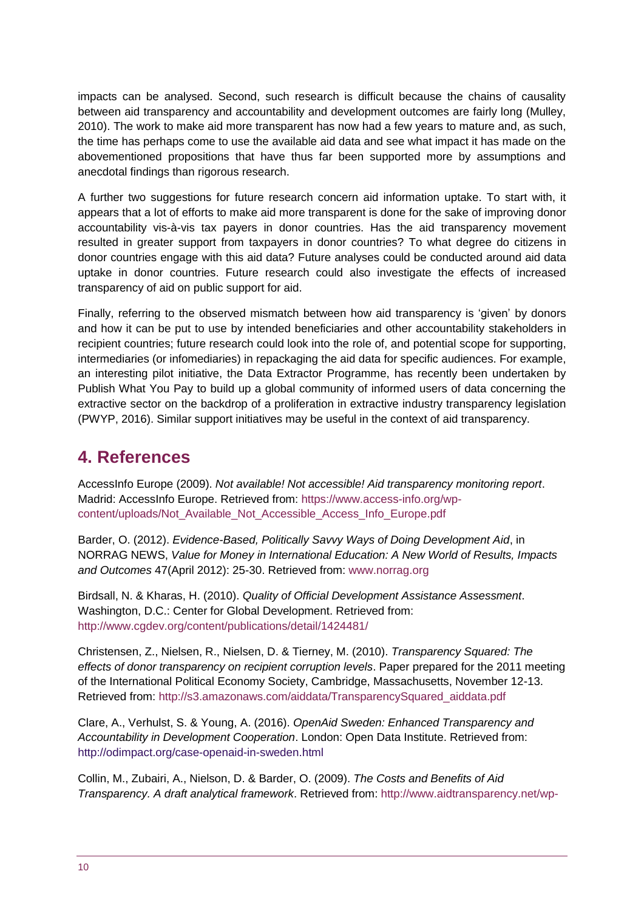impacts can be analysed. Second, such research is difficult because the chains of causality between aid transparency and accountability and development outcomes are fairly long (Mulley, 2010). The work to make aid more transparent has now had a few years to mature and, as such, the time has perhaps come to use the available aid data and see what impact it has made on the abovementioned propositions that have thus far been supported more by assumptions and anecdotal findings than rigorous research.

A further two suggestions for future research concern aid information uptake. To start with, it appears that a lot of efforts to make aid more transparent is done for the sake of improving donor accountability vis-à-vis tax payers in donor countries. Has the aid transparency movement resulted in greater support from taxpayers in donor countries? To what degree do citizens in donor countries engage with this aid data? Future analyses could be conducted around aid data uptake in donor countries. Future research could also investigate the effects of increased transparency of aid on public support for aid.

Finally, referring to the observed mismatch between how aid transparency is 'given' by donors and how it can be put to use by intended beneficiaries and other accountability stakeholders in recipient countries; future research could look into the role of, and potential scope for supporting, intermediaries (or infomediaries) in repackaging the aid data for specific audiences. For example, an interesting pilot initiative, the Data Extractor Programme, has recently been undertaken by Publish What You Pay to build up a global community of informed users of data concerning the extractive sector on the backdrop of a proliferation in extractive industry transparency legislation (PWYP, 2016). Similar support initiatives may be useful in the context of aid transparency.

# <span id="page-9-0"></span>**4. References**

AccessInfo Europe (2009). *Not available! Not accessible! Aid transparency monitoring report*. Madrid: AccessInfo Europe. Retrieved from: [https://www.access-info.org/wp](https://www.access-info.org/wp-content/uploads/Not_Available_Not_Accessible_Access_Info_Europe.pdf)[content/uploads/Not\\_Available\\_Not\\_Accessible\\_Access\\_Info\\_Europe.pdf](https://www.access-info.org/wp-content/uploads/Not_Available_Not_Accessible_Access_Info_Europe.pdf)

Barder, O. (2012). *Evidence-Based, Politically Savvy Ways of Doing Development Aid*, in NORRAG NEWS, *Value for Money in International Education: A New World of Results, Impacts and Outcomes* 47(April 2012): 25-30. Retrieved from: [www.norrag.org](http://www.norrag.org/) 

Birdsall, N. & Kharas, H. (2010). *Quality of Official Development Assistance Assessment*. Washington, D.C.: Center for Global Development. Retrieved from: <http://www.cgdev.org/content/publications/detail/1424481/>

Christensen, Z., Nielsen, R., Nielsen, D. & Tierney, M. (2010). *Transparency Squared: The effects of donor transparency on recipient corruption levels*. Paper prepared for the 2011 meeting of the International Political Economy Society, Cambridge, Massachusetts, November 12-13. Retrieved from: [http://s3.amazonaws.com/aiddata/TransparencySquared\\_aiddata.pdf](http://s3.amazonaws.com/aiddata/TransparencySquared_aiddata.pdf) 

Clare, A., Verhulst, S. & Young, A. (2016). *OpenAid Sweden: Enhanced Transparency and Accountability in Development Cooperation*. London: Open Data Institute. Retrieved from: <http://odimpact.org/case-openaid-in-sweden.html>

Collin, M., Zubairi, A., Nielson, D. & Barder, O. (2009). *The Costs and Benefits of Aid Transparency. A draft analytical framework*. Retrieved from: [http://www.aidtransparency.net/wp-](http://www.aidtransparency.net/wp-content/uploads/2010/06/1140-100407-Framework-for-Costs-and-Benefits-of-transparency-with-Annexes.pdf)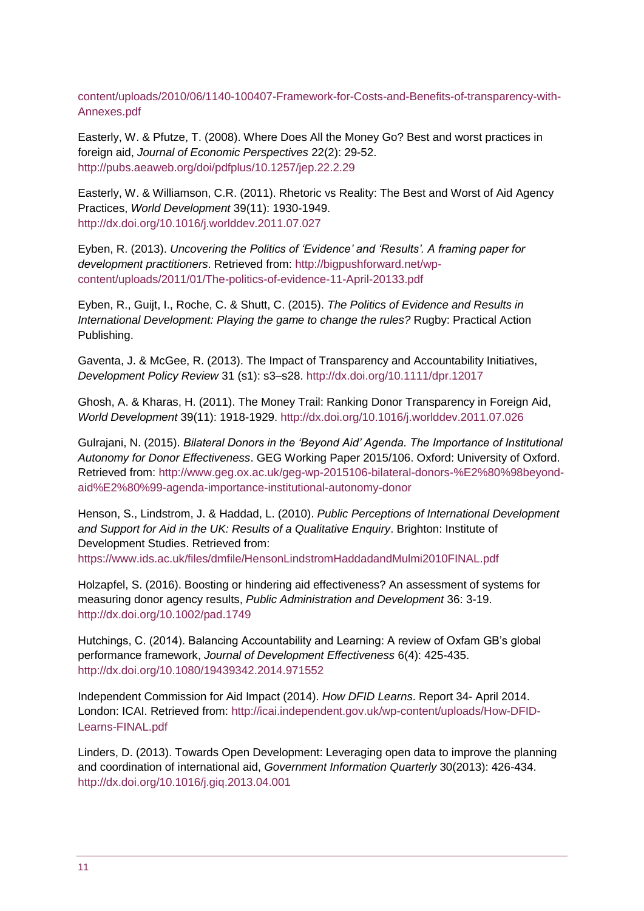[content/uploads/2010/06/1140-100407-Framework-for-Costs-and-Benefits-of-transparency-with-](http://www.aidtransparency.net/wp-content/uploads/2010/06/1140-100407-Framework-for-Costs-and-Benefits-of-transparency-with-Annexes.pdf)[Annexes.pdf](http://www.aidtransparency.net/wp-content/uploads/2010/06/1140-100407-Framework-for-Costs-and-Benefits-of-transparency-with-Annexes.pdf) 

Easterly, W. & Pfutze, T. (2008). Where Does All the Money Go? Best and worst practices in foreign aid, *Journal of Economic Perspectives* 22(2): 29-52. <http://pubs.aeaweb.org/doi/pdfplus/10.1257/jep.22.2.29>

Easterly, W. & Williamson, C.R. (2011). Rhetoric vs Reality: The Best and Worst of Aid Agency Practices, *World Development* 39(11): 1930-1949. <http://dx.doi.org/10.1016/j.worlddev.2011.07.027>

Eyben, R. (2013). *Uncovering the Politics of 'Evidence' and 'Results'. A framing paper for development practitioners*. Retrieved from: [http://bigpushforward.net/wp](http://bigpushforward.net/wp-content/uploads/2011/01/The-politics-of-evidence-11-April-20133.pdf)[content/uploads/2011/01/The-politics-of-evidence-11-April-20133.pdf](http://bigpushforward.net/wp-content/uploads/2011/01/The-politics-of-evidence-11-April-20133.pdf) 

Eyben, R., Guijt, I., Roche, C. & Shutt, C. (2015). *The Politics of Evidence and Results in International Development: Playing the game to change the rules?* Rugby: Practical Action Publishing.

Gaventa, J. & McGee, R. (2013). The Impact of Transparency and Accountability Initiatives, *Development Policy Review* 31 (s1): s3–s28.<http://dx.doi.org/10.1111/dpr.12017>

Ghosh, A. & Kharas, H. (2011). The Money Trail: Ranking Donor Transparency in Foreign Aid, *World Development* 39(11): 1918-1929. <http://dx.doi.org/10.1016/j.worlddev.2011.07.026>

Gulrajani, N. (2015). *Bilateral Donors in the 'Beyond Aid' Agenda. The Importance of Institutional Autonomy for Donor Effectiveness*. GEG Working Paper 2015/106. Oxford: University of Oxford. Retrieved from: [http://www.geg.ox.ac.uk/geg-wp-2015106-bilateral-donors-%E2%80%98beyond](http://www.geg.ox.ac.uk/geg-wp-2015106-bilateral-donors-%E2%80%98beyond-aid%E2%80%99-agenda-importance-institutional-autonomy-donor)[aid%E2%80%99-agenda-importance-institutional-autonomy-donor](http://www.geg.ox.ac.uk/geg-wp-2015106-bilateral-donors-%E2%80%98beyond-aid%E2%80%99-agenda-importance-institutional-autonomy-donor)

Henson, S., Lindstrom, J. & Haddad, L. (2010). *Public Perceptions of International Development and Support for Aid in the UK: Results of a Qualitative Enquiry*. Brighton: Institute of Development Studies. Retrieved from:

<https://www.ids.ac.uk/files/dmfile/HensonLindstromHaddadandMulmi2010FINAL.pdf>

Holzapfel, S. (2016). Boosting or hindering aid effectiveness? An assessment of systems for measuring donor agency results, *Public Administration and Development* 36: 3-19. <http://dx.doi.org/10.1002/pad.1749>

Hutchings, C. (2014). Balancing Accountability and Learning: A review of Oxfam GB's global performance framework, *Journal of Development Effectiveness* 6(4): 425-435. <http://dx.doi.org/10.1080/19439342.2014.971552>

Independent Commission for Aid Impact (2014). *How DFID Learns*. Report 34- April 2014. London: ICAI. Retrieved from: [http://icai.independent.gov.uk/wp-content/uploads/How-DFID-](http://icai.independent.gov.uk/wp-content/uploads/How-DFID-Learns-FINAL.pdf)[Learns-FINAL.pdf](http://icai.independent.gov.uk/wp-content/uploads/How-DFID-Learns-FINAL.pdf)

Linders, D. (2013). Towards Open Development: Leveraging open data to improve the planning and coordination of international aid, *Government Information Quarterly* 30(2013): 426-434. <http://dx.doi.org/10.1016/j.giq.2013.04.001>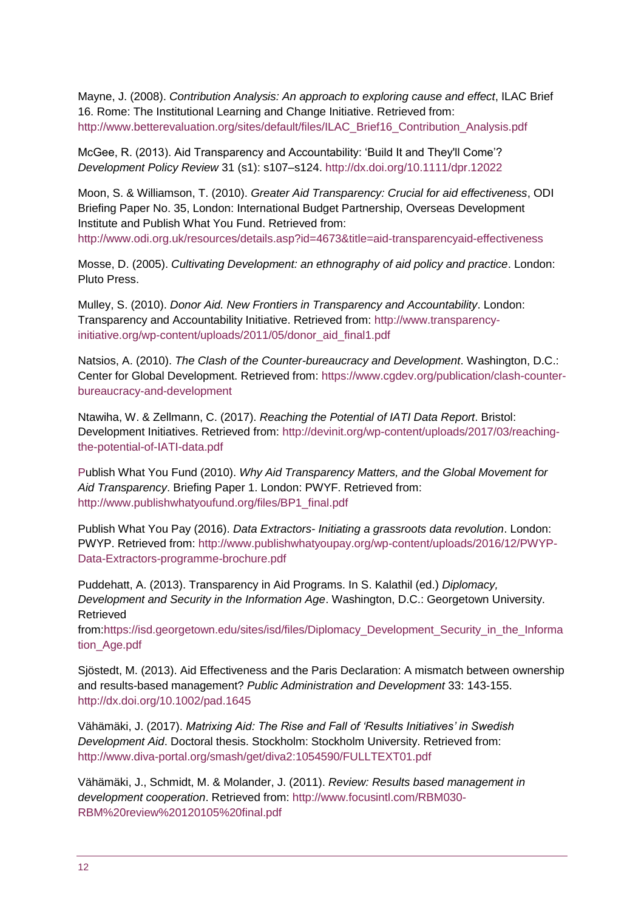Mayne, J. (2008). *Contribution Analysis: An approach to exploring cause and effect*, ILAC Brief 16. Rome: The Institutional Learning and Change Initiative. Retrieved from: [http://www.betterevaluation.org/sites/default/files/ILAC\\_Brief16\\_Contribution\\_Analysis.pdf](http://www.betterevaluation.org/sites/default/files/ILAC_Brief16_Contribution_Analysis.pdf) 

McGee, R. (2013). Aid Transparency and Accountability: 'Build It and They'll Come'? *Development Policy Review* 31 (s1): s107–s124. <http://dx.doi.org/10.1111/dpr.12022>

Moon, S. & Williamson, T. (2010). *Greater Aid Transparency: Crucial for aid effectiveness*, ODI Briefing Paper No. 35, London: International Budget Partnership, Overseas Development Institute and Publish What You Fund. Retrieved from: <http://www.odi.org.uk/resources/details.asp?id=4673&title=aid-transparencyaid-effectiveness>

Mosse, D. (2005). *Cultivating Development: an ethnography of aid policy and practice*. London: Pluto Press.

Mulley, S. (2010). *Donor Aid. New Frontiers in Transparency and Accountability*. London: Transparency and Accountability Initiative. Retrieved from: [http://www.transparency](http://www.transparency-initiative.org/wp-content/uploads/2011/05/donor_aid_final1.pdf)[initiative.org/wp-content/uploads/2011/05/donor\\_aid\\_final1.pdf](http://www.transparency-initiative.org/wp-content/uploads/2011/05/donor_aid_final1.pdf)

Natsios, A. (2010). *The Clash of the Counter-bureaucracy and Development*. Washington, D.C.: Center for Global Development. Retrieved from: [https://www.cgdev.org/publication/clash-counter](https://www.cgdev.org/publication/clash-counter-bureaucracy-and-development)[bureaucracy-and-development](https://www.cgdev.org/publication/clash-counter-bureaucracy-and-development) 

Ntawiha, W. & Zellmann, C. (2017). *Reaching the Potential of IATI Data Report*. Bristol: Development Initiatives. Retrieved from: [http://devinit.org/wp-content/uploads/2017/03/reaching](http://devinit.org/wp-content/uploads/2017/03/reaching-the-potential-of-IATI-data.pdf)[the-potential-of-IATI-data.pdf](http://devinit.org/wp-content/uploads/2017/03/reaching-the-potential-of-IATI-data.pdf)

[Pu](http://devinit.org/wp-content/uploads/2017/03/reaching-the-potential-of-IATI-data.pdf)blish What You Fund (2010). *Why Aid Transparency Matters, and the Global Movement for Aid Transparency*. Briefing Paper 1. London: PWYF. Retrieved from: [http://www.publishwhatyoufund.org/files/BP1\\_final.pdf](http://www.publishwhatyoufund.org/files/BP1_final.pdf) 

Publish What You Pay (2016). *Data Extractors- Initiating a grassroots data revolution*. London: PWYP. Retrieved from: [http://www.publishwhatyoupay.org/wp-content/uploads/2016/12/PWYP-](http://www.publishwhatyoupay.org/wp-content/uploads/2016/12/PWYP-Data-Extractors-programme-brochure.pdf)[Data-Extractors-programme-brochure.pdf](http://www.publishwhatyoupay.org/wp-content/uploads/2016/12/PWYP-Data-Extractors-programme-brochure.pdf)

Puddehatt, A. (2013). Transparency in Aid Programs. In S. Kalathil (ed.) *Diplomacy, Development and Security in the Information Age*. Washington, D.C.: Georgetown University. Retrieved

from[:https://isd.georgetown.edu/sites/isd/files/Diplomacy\\_Development\\_Security\\_in\\_the\\_Informa](https://isd.georgetown.edu/sites/isd/files/Diplomacy_Development_Security_in_the_Information_Age.pdf) [tion\\_Age.pdf](https://isd.georgetown.edu/sites/isd/files/Diplomacy_Development_Security_in_the_Information_Age.pdf)

Sjöstedt, M. (2013). Aid Effectiveness and the Paris Declaration: A mismatch between ownership and results-based management? *Public Administration and Development* 33: 143-155. <http://dx.doi.org/10.1002/pad.1645>

Vähämäki, J. (2017). *Matrixing Aid: The Rise and Fall of 'Results Initiatives' in Swedish Development Aid*. Doctoral thesis. Stockholm: Stockholm University. Retrieved from: <http://www.diva-portal.org/smash/get/diva2:1054590/FULLTEXT01.pdf>

Vähämäki, J., Schmidt, M. & Molander, J. (2011). *Review: Results based management in development cooperation*. Retrieved from: [http://www.focusintl.com/RBM030-](http://www.focusintl.com/RBM030-RBM%20review%20120105%20final.pdf) [RBM%20review%20120105%20final.pdf](http://www.focusintl.com/RBM030-RBM%20review%20120105%20final.pdf)